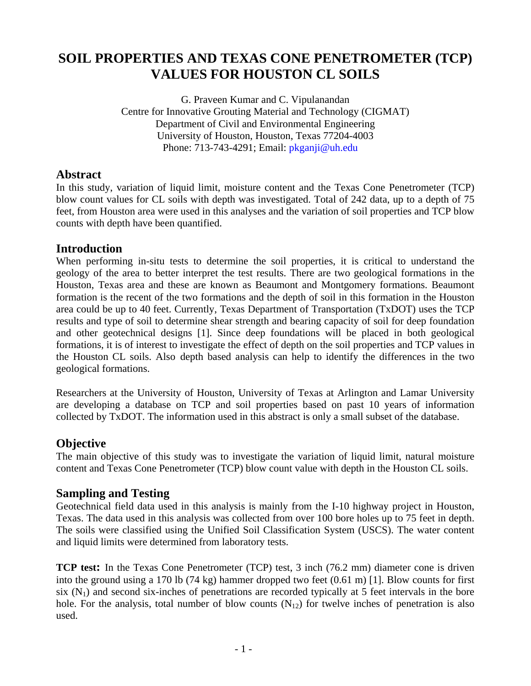# **SOIL PROPERTIES AND TEXAS CONE PENETROMETER (TCP) VALUES FOR HOUSTON CL SOILS**

G. Praveen Kumar and C. Vipulanandan Centre for Innovative Grouting Material and Technology (CIGMAT) Department of Civil and Environmental Engineering University of Houston, Houston, Texas 77204-4003 Phone: 713-743-4291; Email: *pkganji@uh.edu* 

## **Abstract**

In this study, variation of liquid limit, moisture content and the Texas Cone Penetrometer (TCP) blow count values for CL soils with depth was investigated. Total of 242 data, up to a depth of 75 feet, from Houston area were used in this analyses and the variation of soil properties and TCP blow counts with depth have been quantified.

## **Introduction**

When performing in-situ tests to determine the soil properties, it is critical to understand the geology of the area to better interpret the test results. There are two geological formations in the Houston, Texas area and these are known as Beaumont and Montgomery formations. Beaumont formation is the recent of the two formations and the depth of soil in this formation in the Houston area could be up to 40 feet. Currently, Texas Department of Transportation (TxDOT) uses the TCP results and type of soil to determine shear strength and bearing capacity of soil for deep foundation and other geotechnical designs [1]. Since deep foundations will be placed in both geological formations, it is of interest to investigate the effect of depth on the soil properties and TCP values in the Houston CL soils. Also depth based analysis can help to identify the differences in the two geological formations.

Researchers at the University of Houston, University of Texas at Arlington and Lamar University are developing a database on TCP and soil properties based on past 10 years of information collected by TxDOT. The information used in this abstract is only a small subset of the database.

## **Objective**

The main objective of this study was to investigate the variation of liquid limit, natural moisture content and Texas Cone Penetrometer (TCP) blow count value with depth in the Houston CL soils.

## **Sampling and Testing**

Geotechnical field data used in this analysis is mainly from the I-10 highway project in Houston, Texas. The data used in this analysis was collected from over 100 bore holes up to 75 feet in depth. The soils were classified using the Unified Soil Classification System (USCS). The water content and liquid limits were determined from laboratory tests.

**TCP test:** In the Texas Cone Penetrometer (TCP) test, 3 inch (76.2 mm) diameter cone is driven into the ground using a 170 lb (74 kg) hammer dropped two feet (0.61 m) [1]. Blow counts for first six  $(N_1)$  and second six-inches of penetrations are recorded typically at 5 feet intervals in the bore hole. For the analysis, total number of blow counts  $(N_{12})$  for twelve inches of penetration is also used.